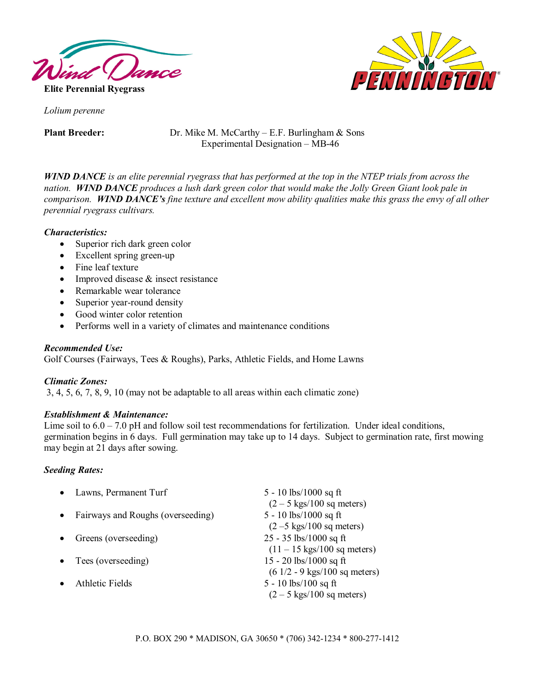

PENNIÑGTO

*Lolium perenne* 

**Plant Breeder:** Dr. Mike M. McCarthy – E.F. Burlingham & Sons Experimental Designation – MB-46

*WIND DANCE is an elite perennial ryegrass that has performed at the top in the NTEP trials from across the nation. WIND DANCE produces a lush dark green color that would make the Jolly Green Giant look pale in comparison. WIND DANCE's fine texture and excellent mow ability qualities make this grass the envy of all other perennial ryegrass cultivars.* 

# *Characteristics:*

- Superior rich dark green color
- Excellent spring green-up
- Fine leaf texture
- Improved disease & insect resistance
- Remarkable wear tolerance
- Superior year-round density
- Good winter color retention
- Performs well in a variety of climates and maintenance conditions

## *Recommended Use:*

Golf Courses (Fairways, Tees & Roughs), Parks, Athletic Fields, and Home Lawns

### *Climatic Zones:*

3, 4, 5, 6, 7, 8, 9, 10 (may not be adaptable to all areas within each climatic zone)

### *Establishment & Maintenance:*

Lime soil to  $6.0 - 7.0$  pH and follow soil test recommendations for fertilization. Under ideal conditions, germination begins in 6 days. Full germination may take up to 14 days. Subject to germination rate, first mowing may begin at 21 days after sowing.

### *Seeding Rates:*

|           | Lawns, Permanent Turf             | 5 - 10 lbs/1000 sq ft                                                                                  |
|-----------|-----------------------------------|--------------------------------------------------------------------------------------------------------|
| $\bullet$ | Fairways and Roughs (overseeding) | $(2 - 5$ kgs/100 sq meters)<br>5 - 10 lbs/1000 sq ft<br>$(2 - 5$ kgs/100 sq meters)                    |
|           | Greens (overseeding)              | $25 - 35$ lbs/1000 sq ft                                                                               |
|           | Tees (overseeding)                | $(11 - 15 \text{ kgs}/100 \text{ sq meters})$<br>15 - 20 lbs/1000 sq ft                                |
|           | Athletic Fields                   | $(61/2 - 9$ kgs/100 sq meters)<br>5 - 10 $\frac{\text{lbs}}{100}$ sq ft<br>$(2 - 5$ kgs/100 sq meters) |